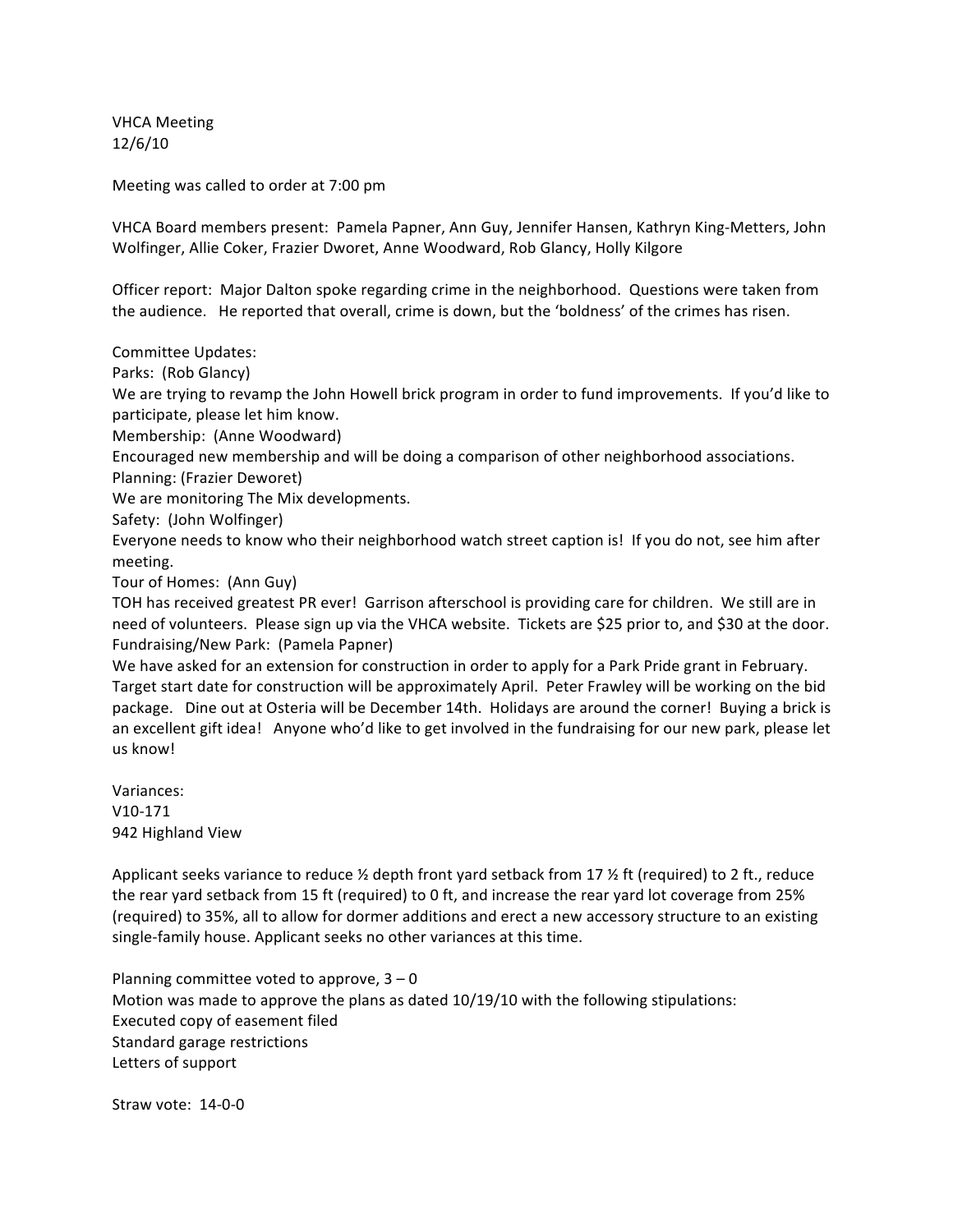VHCA
Meeting 12/6/10

Meeting
was
called
to
order
at
7:00
pm

VHCA
Board
members
present:

Pamela
Papner,
Ann
Guy,
Jennifer
Hansen,
Kathryn
King‐Metters,
John Wolfinger,
Allie
Coker,
Frazier
Dworet,
Anne
Woodward,
Rob
Glancy,
Holly
Kilgore

Officer report: Major Dalton spoke regarding crime in the neighborhood. Questions were taken from the audience. He reported that overall, crime is down, but the 'boldness' of the crimes has risen.

Committee
Updates:

Parks:

(Rob
Glancy)

We are trying to revamp the John Howell brick program in order to fund improvements. If you'd like to participate,
please
let
him
know.

Membership:

(Anne
Woodward)

Encouraged
new
membership
and
will
be
doing
a
comparison
of
other
neighborhood
associations.

Planning:
(Frazier
Deworet)

We
are
monitoring
The
Mix
developments.

Safety:

(John
Wolfinger)

Everyone needs to know who their neighborhood watch street caption is! If you do not, see him after meeting.

Tour
of
Homes:

(Ann
Guy)

TOH has received greatest PR ever! Garrison afterschool is providing care for children. We still are in need of volunteers. Please sign up via the VHCA website. Tickets are \$25 prior to, and \$30 at the door. Fundraising/New
Park:

(Pamela
Papner)

We have asked for an extension for construction in order to apply for a Park Pride grant in February. Target
start
date
for
construction
will
be
approximately
April.

Peter
Frawley
will
be
working
on
the
bid package. Dine out at Osteria will be December 14th. Holidays are around the corner! Buying a brick is an excellent gift idea! Anyone who'd like to get involved in the fundraising for our new park, please let us
know!

Variances: V10‐171 942
Highland
View

Applicant seeks variance to reduce  $\frac{1}{2}$  depth front yard setback from 17  $\frac{1}{2}$  ft (required) to 2 ft., reduce the rear yard setback from 15 ft (required) to 0 ft, and increase the rear yard lot coverage from 25% (required) to 35%, all to allow for dormer additions and erect a new accessory structure to an existing single-family house. Applicant seeks no other variances at this time.

Planning committee voted to approve,  $3 - 0$ Motion was made to approve the plans as dated 10/19/10 with the following stipulations: Executed
copy
of
easement
filed Standard
garage
restrictions Letters
of
support

Straw
vote:

14‐0‐0